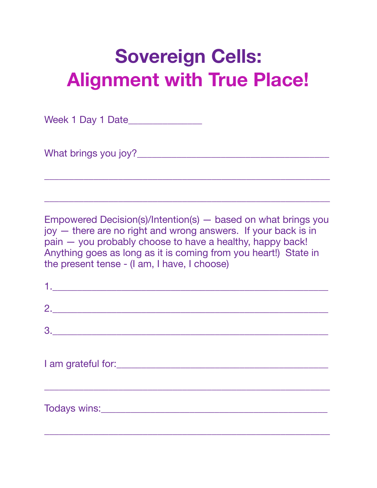Week 1 Day 1 Date\_\_\_\_\_\_\_\_\_\_\_\_\_\_\_

What brings you joy?\_\_\_\_\_\_\_\_\_\_\_\_\_\_\_\_\_\_\_\_\_\_\_\_\_\_\_\_\_\_\_\_\_\_\_\_\_\_\_

Empowered Decision(s)/Intention(s) — based on what brings you joy — there are no right and wrong answers. If your back is in pain — you probably choose to have a healthy, happy back! Anything goes as long as it is coming from you heart!) State in the present tense - (I am, I have, I choose)

\_\_\_\_\_\_\_\_\_\_\_\_\_\_\_\_\_\_\_\_\_\_\_\_\_\_\_\_\_\_\_\_\_\_\_\_\_\_\_\_\_\_\_\_\_\_\_\_\_\_\_\_\_\_\_\_\_\_

| $\begin{array}{c}\n2.\n\end{array}$ |  |
|-------------------------------------|--|
| 3.                                  |  |
|                                     |  |
|                                     |  |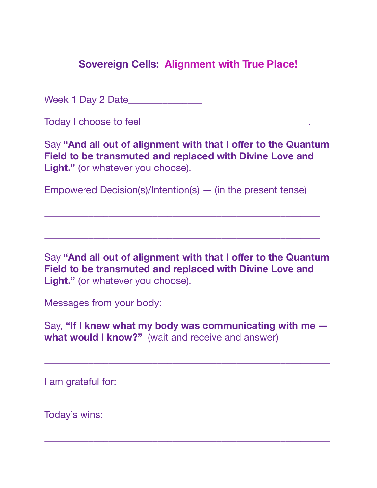Week 1 Day 2 Date\_\_\_\_\_\_\_\_\_\_\_\_\_\_\_

Today I choose to feel **The Executive Contract Contract Contract Contract Contract Contract Contract Contract Contract Contract Contract Contract Contract Contract Contract Contract Contract Contract Contract Contract Cont** 

Say "And all out of alignment with that I offer to the Quantum **Field to be transmuted and replaced with Divine Love and Light."** (or whatever you choose).

Empowered Decision(s)/Intention(s) — (in the present tense)

\_\_\_\_\_\_\_\_\_\_\_\_\_\_\_\_\_\_\_\_\_\_\_\_\_\_\_\_\_\_\_\_\_\_\_\_\_\_\_\_\_\_\_\_\_\_\_\_\_\_\_\_\_\_\_\_

\_\_\_\_\_\_\_\_\_\_\_\_\_\_\_\_\_\_\_\_\_\_\_\_\_\_\_\_\_\_\_\_\_\_\_\_\_\_\_\_\_\_\_\_\_\_\_\_\_\_\_\_\_\_\_\_

Say "And all out of alignment with that I offer to the Quantum **Field to be transmuted and replaced with Divine Love and Light."** (or whatever you choose).

Messages from your body:\_\_\_\_\_\_\_\_\_\_\_\_\_\_\_\_\_\_\_\_\_\_\_\_\_\_\_\_\_\_\_\_\_

Say, **"If I knew what my body was communicating with me what would I know?"** (wait and receive and answer)

\_\_\_\_\_\_\_\_\_\_\_\_\_\_\_\_\_\_\_\_\_\_\_\_\_\_\_\_\_\_\_\_\_\_\_\_\_\_\_\_\_\_\_\_\_\_\_\_\_\_\_\_\_\_\_\_\_\_

\_\_\_\_\_\_\_\_\_\_\_\_\_\_\_\_\_\_\_\_\_\_\_\_\_\_\_\_\_\_\_\_\_\_\_\_\_\_\_\_\_\_\_\_\_\_\_\_\_\_\_\_\_\_\_\_\_\_

I am grateful for:\_\_\_\_\_\_\_\_\_\_\_\_\_\_\_\_\_\_\_\_\_\_\_\_\_\_\_\_\_\_\_\_\_\_\_\_\_\_\_\_\_\_\_

Today's wins: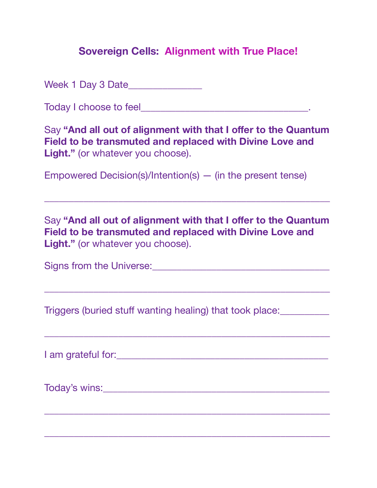Week 1 Day 3 Date\_\_\_\_\_\_\_\_\_\_\_\_\_\_\_

Today I choose to feel\_\_\_\_\_\_\_\_\_\_\_\_\_\_\_\_\_\_\_\_\_\_\_\_\_\_\_\_\_\_\_\_\_\_.

Say "And all out of alignment with that I offer to the Quantum **Field to be transmuted and replaced with Divine Love and Light."** (or whatever you choose).

Empowered Decision(s)/Intention(s) — (in the present tense)

Say "And all out of alignment with that I offer to the Quantum **Field to be transmuted and replaced with Divine Love and Light."** (or whatever you choose).

\_\_\_\_\_\_\_\_\_\_\_\_\_\_\_\_\_\_\_\_\_\_\_\_\_\_\_\_\_\_\_\_\_\_\_\_\_\_\_\_\_\_\_\_\_\_\_\_\_\_\_\_\_\_\_\_\_\_

\_\_\_\_\_\_\_\_\_\_\_\_\_\_\_\_\_\_\_\_\_\_\_\_\_\_\_\_\_\_\_\_\_\_\_\_\_\_\_\_\_\_\_\_\_\_\_\_\_\_\_\_\_\_\_\_\_\_

\_\_\_\_\_\_\_\_\_\_\_\_\_\_\_\_\_\_\_\_\_\_\_\_\_\_\_\_\_\_\_\_\_\_\_\_\_\_\_\_\_\_\_\_\_\_\_\_\_\_\_\_\_\_\_\_\_\_

\_\_\_\_\_\_\_\_\_\_\_\_\_\_\_\_\_\_\_\_\_\_\_\_\_\_\_\_\_\_\_\_\_\_\_\_\_\_\_\_\_\_\_\_\_\_\_\_\_\_\_\_\_\_\_\_\_\_

\_\_\_\_\_\_\_\_\_\_\_\_\_\_\_\_\_\_\_\_\_\_\_\_\_\_\_\_\_\_\_\_\_\_\_\_\_\_\_\_\_\_\_\_\_\_\_\_\_\_\_\_\_\_\_\_\_\_

Signs from the Universe:\_\_\_\_\_\_\_\_\_\_\_\_\_\_\_\_\_\_\_\_\_\_\_\_\_\_\_\_\_\_\_\_\_\_\_\_

Triggers (buried stuff wanting healing) that took place:\_\_\_\_\_\_\_\_\_\_

I am grateful for:\_\_\_\_\_\_\_\_\_\_\_\_\_\_\_\_\_\_\_\_\_\_\_\_\_\_\_\_\_\_\_\_\_\_\_\_\_\_\_\_\_\_\_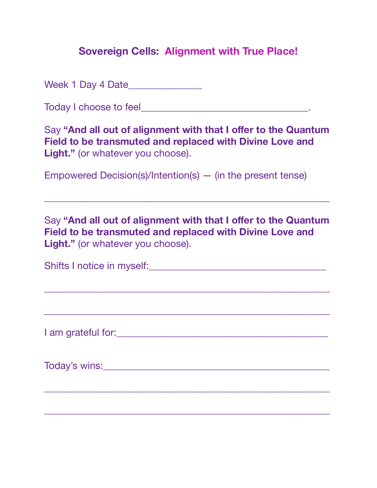Week 1 Day 4 Date\_\_\_\_\_\_\_\_\_\_\_\_\_\_\_

Today I choose to feel\_\_\_\_\_\_\_\_\_\_\_\_\_\_\_\_\_\_\_\_\_\_\_\_\_\_\_\_\_\_\_\_\_\_.

Say "And all out of alignment with that I offer to the Quantum **Field to be transmuted and replaced with Divine Love and Light."** (or whatever you choose).

Empowered Decision(s)/Intention(s) — (in the present tense)

Say "And all out of alignment with that I offer to the Quantum **Field to be transmuted and replaced with Divine Love and Light."** (or whatever you choose).

\_\_\_\_\_\_\_\_\_\_\_\_\_\_\_\_\_\_\_\_\_\_\_\_\_\_\_\_\_\_\_\_\_\_\_\_\_\_\_\_\_\_\_\_\_\_\_\_\_\_\_\_\_\_\_\_\_\_

| Shifts I notice in myself: |  |
|----------------------------|--|
|                            |  |

\_\_\_\_\_\_\_\_\_\_\_\_\_\_\_\_\_\_\_\_\_\_\_\_\_\_\_\_\_\_\_\_\_\_\_\_\_\_\_\_\_\_\_\_\_\_\_\_\_\_\_\_\_\_\_\_\_\_

\_\_\_\_\_\_\_\_\_\_\_\_\_\_\_\_\_\_\_\_\_\_\_\_\_\_\_\_\_\_\_\_\_\_\_\_\_\_\_\_\_\_\_\_\_\_\_\_\_\_\_\_\_\_\_\_\_\_

I am grateful for:\_\_\_\_\_\_\_\_\_\_\_\_\_\_\_\_\_\_\_\_\_\_\_\_\_\_\_\_\_\_\_\_\_\_\_\_\_\_\_\_\_\_\_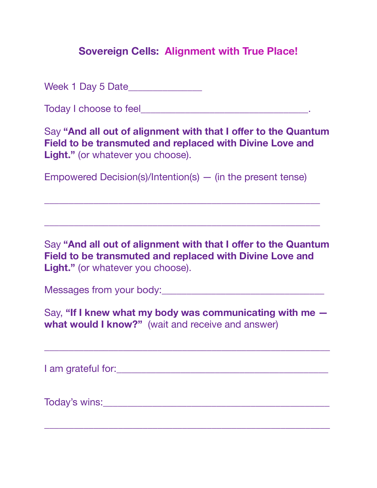Week 1 Day 5 Date\_\_\_\_\_\_\_\_\_\_\_\_\_\_\_

Today I choose to feel **The Executive Contract Contract Contract Contract Contract Contract Contract Contract Contract Contract Contract Contract Contract Contract Contract Contract Contract Contract Contract Contract Cont** 

Say "And all out of alignment with that I offer to the Quantum **Field to be transmuted and replaced with Divine Love and Light."** (or whatever you choose).

Empowered Decision(s)/Intention(s) — (in the present tense)

\_\_\_\_\_\_\_\_\_\_\_\_\_\_\_\_\_\_\_\_\_\_\_\_\_\_\_\_\_\_\_\_\_\_\_\_\_\_\_\_\_\_\_\_\_\_\_\_\_\_\_\_\_\_\_\_

\_\_\_\_\_\_\_\_\_\_\_\_\_\_\_\_\_\_\_\_\_\_\_\_\_\_\_\_\_\_\_\_\_\_\_\_\_\_\_\_\_\_\_\_\_\_\_\_\_\_\_\_\_\_\_\_

Say **"And all out of alignment with that I offer to the Quantum Field to be transmuted and replaced with Divine Love and**  Light." (or whatever you choose).

Messages from your body:\_\_\_\_\_\_\_\_\_\_\_\_\_\_\_\_\_\_\_\_\_\_\_\_\_\_\_\_\_\_\_\_\_

Say, **"If I knew what my body was communicating with me what would I know?"** (wait and receive and answer)

\_\_\_\_\_\_\_\_\_\_\_\_\_\_\_\_\_\_\_\_\_\_\_\_\_\_\_\_\_\_\_\_\_\_\_\_\_\_\_\_\_\_\_\_\_\_\_\_\_\_\_\_\_\_\_\_\_\_

I am grateful for:  $\blacksquare$ 

Today's wins:\_\_\_\_\_\_\_\_\_\_\_\_\_\_\_\_\_\_\_\_\_\_\_\_\_\_\_\_\_\_\_\_\_\_\_\_\_\_\_\_\_\_\_\_\_\_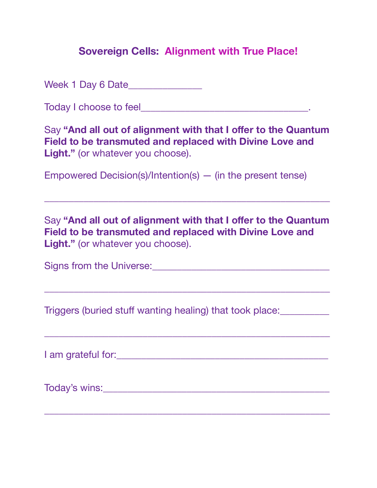Week 1 Day 6 Date\_\_\_\_\_\_\_\_\_\_\_\_\_\_\_

Today I choose to feel\_\_\_\_\_\_\_\_\_\_\_\_\_\_\_\_\_\_\_\_\_\_\_\_\_\_\_\_\_\_\_\_\_\_.

Say "And all out of alignment with that I offer to the Quantum **Field to be transmuted and replaced with Divine Love and Light."** (or whatever you choose).

Empowered Decision(s)/Intention(s) — (in the present tense)

Say "And all out of alignment with that I offer to the Quantum **Field to be transmuted and replaced with Divine Love and Light."** (or whatever you choose).

\_\_\_\_\_\_\_\_\_\_\_\_\_\_\_\_\_\_\_\_\_\_\_\_\_\_\_\_\_\_\_\_\_\_\_\_\_\_\_\_\_\_\_\_\_\_\_\_\_\_\_\_\_\_\_\_\_\_

\_\_\_\_\_\_\_\_\_\_\_\_\_\_\_\_\_\_\_\_\_\_\_\_\_\_\_\_\_\_\_\_\_\_\_\_\_\_\_\_\_\_\_\_\_\_\_\_\_\_\_\_\_\_\_\_\_\_

\_\_\_\_\_\_\_\_\_\_\_\_\_\_\_\_\_\_\_\_\_\_\_\_\_\_\_\_\_\_\_\_\_\_\_\_\_\_\_\_\_\_\_\_\_\_\_\_\_\_\_\_\_\_\_\_\_\_

Signs from the Universe:\_\_\_\_\_\_\_\_\_\_\_\_\_\_\_\_\_\_\_\_\_\_\_\_\_\_\_\_\_\_\_\_\_\_\_\_

Triggers (buried stuff wanting healing) that took place:\_\_\_\_\_\_\_\_\_\_

I am grateful for:\_\_\_\_\_\_\_\_\_\_\_\_\_\_\_\_\_\_\_\_\_\_\_\_\_\_\_\_\_\_\_\_\_\_\_\_\_\_\_\_\_\_\_

Today's wins:\_\_\_\_\_\_\_\_\_\_\_\_\_\_\_\_\_\_\_\_\_\_\_\_\_\_\_\_\_\_\_\_\_\_\_\_\_\_\_\_\_\_\_\_\_\_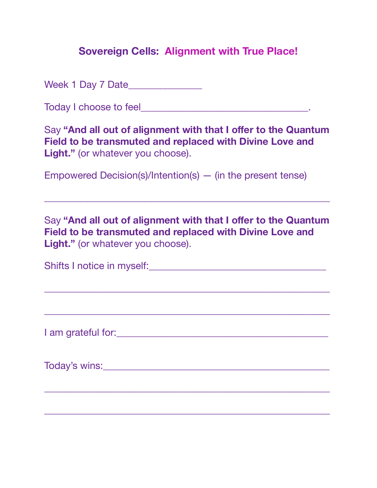Week 1 Day 7 Date\_\_\_\_\_\_\_\_\_\_\_\_\_\_\_

Today I choose to feel\_\_\_\_\_\_\_\_\_\_\_\_\_\_\_\_\_\_\_\_\_\_\_\_\_\_\_\_\_\_\_\_\_\_.

Say "And all out of alignment with that I offer to the Quantum **Field to be transmuted and replaced with Divine Love and Light."** (or whatever you choose).

Empowered Decision(s)/Intention(s) — (in the present tense)

Say "And all out of alignment with that I offer to the Quantum **Field to be transmuted and replaced with Divine Love and Light."** (or whatever you choose).

\_\_\_\_\_\_\_\_\_\_\_\_\_\_\_\_\_\_\_\_\_\_\_\_\_\_\_\_\_\_\_\_\_\_\_\_\_\_\_\_\_\_\_\_\_\_\_\_\_\_\_\_\_\_\_\_\_\_

| Shifts I notice in myself: |  |
|----------------------------|--|
|                            |  |

\_\_\_\_\_\_\_\_\_\_\_\_\_\_\_\_\_\_\_\_\_\_\_\_\_\_\_\_\_\_\_\_\_\_\_\_\_\_\_\_\_\_\_\_\_\_\_\_\_\_\_\_\_\_\_\_\_\_

\_\_\_\_\_\_\_\_\_\_\_\_\_\_\_\_\_\_\_\_\_\_\_\_\_\_\_\_\_\_\_\_\_\_\_\_\_\_\_\_\_\_\_\_\_\_\_\_\_\_\_\_\_\_\_\_\_\_

I am grateful for:\_\_\_\_\_\_\_\_\_\_\_\_\_\_\_\_\_\_\_\_\_\_\_\_\_\_\_\_\_\_\_\_\_\_\_\_\_\_\_\_\_\_\_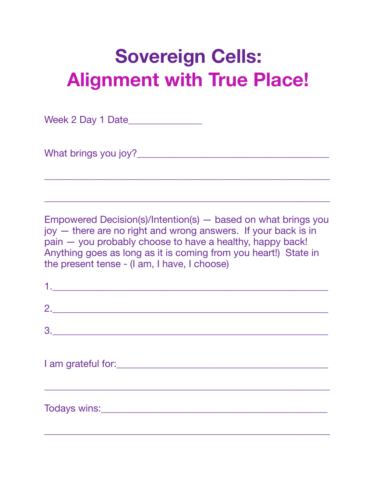Week 2 Day 1 Date\_\_\_\_\_\_\_\_\_\_\_\_\_\_\_

What brings you joy?\_\_\_\_\_\_\_\_\_\_\_\_\_\_\_\_\_\_\_\_\_\_\_\_\_\_\_\_\_\_\_\_\_\_\_\_\_\_\_

Empowered Decision(s)/Intention(s) — based on what brings you joy — there are no right and wrong answers. If your back is in pain — you probably choose to have a healthy, happy back! Anything goes as long as it is coming from you heart!) State in the present tense - (I am, I have, I choose)

\_\_\_\_\_\_\_\_\_\_\_\_\_\_\_\_\_\_\_\_\_\_\_\_\_\_\_\_\_\_\_\_\_\_\_\_\_\_\_\_\_\_\_\_\_\_\_\_\_\_\_\_\_\_\_\_\_\_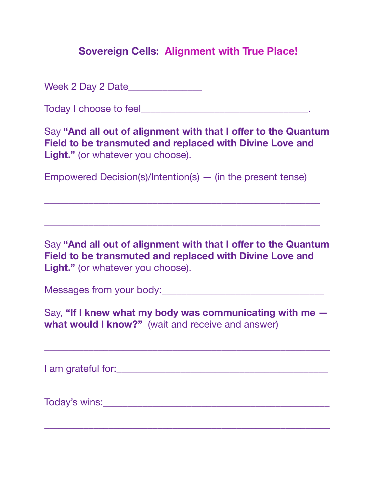Week 2 Day 2 Date\_\_\_\_\_\_\_\_\_\_\_\_\_\_\_

Today I choose to feel **The Executive Contract Contract Contract Contract Contract Contract Contract Contract Contract Contract Contract Contract Contract Contract Contract Contract Contract Contract Contract Contract Cont** 

Say "And all out of alignment with that I offer to the Quantum **Field to be transmuted and replaced with Divine Love and Light."** (or whatever you choose).

Empowered Decision(s)/Intention(s) — (in the present tense)

\_\_\_\_\_\_\_\_\_\_\_\_\_\_\_\_\_\_\_\_\_\_\_\_\_\_\_\_\_\_\_\_\_\_\_\_\_\_\_\_\_\_\_\_\_\_\_\_\_\_\_\_\_\_\_\_

\_\_\_\_\_\_\_\_\_\_\_\_\_\_\_\_\_\_\_\_\_\_\_\_\_\_\_\_\_\_\_\_\_\_\_\_\_\_\_\_\_\_\_\_\_\_\_\_\_\_\_\_\_\_\_\_

Say **"And all out of alignment with that I offer to the Quantum Field to be transmuted and replaced with Divine Love and**  Light." (or whatever you choose).

Messages from your body:\_\_\_\_\_\_\_\_\_\_\_\_\_\_\_\_\_\_\_\_\_\_\_\_\_\_\_\_\_\_\_\_\_

Say, **"If I knew what my body was communicating with me what would I know?"** (wait and receive and answer)

\_\_\_\_\_\_\_\_\_\_\_\_\_\_\_\_\_\_\_\_\_\_\_\_\_\_\_\_\_\_\_\_\_\_\_\_\_\_\_\_\_\_\_\_\_\_\_\_\_\_\_\_\_\_\_\_\_\_

I am grateful for:  $\blacksquare$ 

Today's wins:\_\_\_\_\_\_\_\_\_\_\_\_\_\_\_\_\_\_\_\_\_\_\_\_\_\_\_\_\_\_\_\_\_\_\_\_\_\_\_\_\_\_\_\_\_\_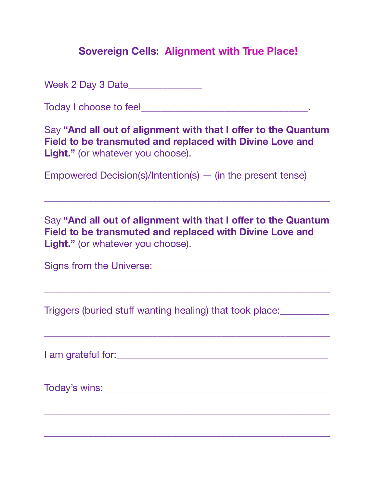Week 2 Day 3 Date\_\_\_\_\_\_\_\_\_\_\_\_\_\_\_

Today I choose to feel\_\_\_\_\_\_\_\_\_\_\_\_\_\_\_\_\_\_\_\_\_\_\_\_\_\_\_\_\_\_\_\_\_\_.

Say "And all out of alignment with that I offer to the Quantum **Field to be transmuted and replaced with Divine Love and Light."** (or whatever you choose).

Empowered Decision(s)/Intention(s) — (in the present tense)

Say "And all out of alignment with that I offer to the Quantum **Field to be transmuted and replaced with Divine Love and Light."** (or whatever you choose).

\_\_\_\_\_\_\_\_\_\_\_\_\_\_\_\_\_\_\_\_\_\_\_\_\_\_\_\_\_\_\_\_\_\_\_\_\_\_\_\_\_\_\_\_\_\_\_\_\_\_\_\_\_\_\_\_\_\_

\_\_\_\_\_\_\_\_\_\_\_\_\_\_\_\_\_\_\_\_\_\_\_\_\_\_\_\_\_\_\_\_\_\_\_\_\_\_\_\_\_\_\_\_\_\_\_\_\_\_\_\_\_\_\_\_\_\_

\_\_\_\_\_\_\_\_\_\_\_\_\_\_\_\_\_\_\_\_\_\_\_\_\_\_\_\_\_\_\_\_\_\_\_\_\_\_\_\_\_\_\_\_\_\_\_\_\_\_\_\_\_\_\_\_\_\_

\_\_\_\_\_\_\_\_\_\_\_\_\_\_\_\_\_\_\_\_\_\_\_\_\_\_\_\_\_\_\_\_\_\_\_\_\_\_\_\_\_\_\_\_\_\_\_\_\_\_\_\_\_\_\_\_\_\_

\_\_\_\_\_\_\_\_\_\_\_\_\_\_\_\_\_\_\_\_\_\_\_\_\_\_\_\_\_\_\_\_\_\_\_\_\_\_\_\_\_\_\_\_\_\_\_\_\_\_\_\_\_\_\_\_\_\_

Signs from the Universe:\_\_\_\_\_\_\_\_\_\_\_\_\_\_\_\_\_\_\_\_\_\_\_\_\_\_\_\_\_\_\_\_\_\_\_\_

Triggers (buried stuff wanting healing) that took place:\_\_\_\_\_\_\_\_\_\_

I am grateful for:\_\_\_\_\_\_\_\_\_\_\_\_\_\_\_\_\_\_\_\_\_\_\_\_\_\_\_\_\_\_\_\_\_\_\_\_\_\_\_\_\_\_\_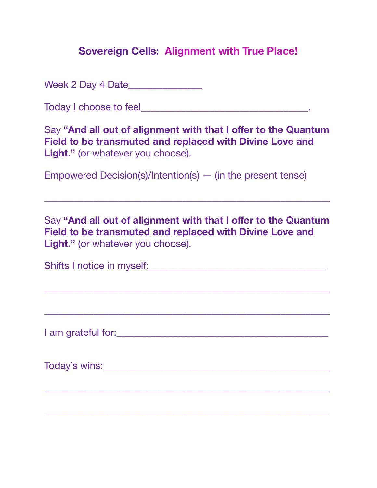Week 2 Day 4 Date\_\_\_\_\_\_\_\_\_\_\_\_\_\_\_

Today I choose to feel\_\_\_\_\_\_\_\_\_\_\_\_\_\_\_\_\_\_\_\_\_\_\_\_\_\_\_\_\_\_\_\_\_\_.

Say "And all out of alignment with that I offer to the Quantum **Field to be transmuted and replaced with Divine Love and Light."** (or whatever you choose).

Empowered Decision(s)/Intention(s) — (in the present tense)

Say "And all out of alignment with that I offer to the Quantum **Field to be transmuted and replaced with Divine Love and Light."** (or whatever you choose).

\_\_\_\_\_\_\_\_\_\_\_\_\_\_\_\_\_\_\_\_\_\_\_\_\_\_\_\_\_\_\_\_\_\_\_\_\_\_\_\_\_\_\_\_\_\_\_\_\_\_\_\_\_\_\_\_\_\_

| Shifts I notice in myself: |  |
|----------------------------|--|
|                            |  |

\_\_\_\_\_\_\_\_\_\_\_\_\_\_\_\_\_\_\_\_\_\_\_\_\_\_\_\_\_\_\_\_\_\_\_\_\_\_\_\_\_\_\_\_\_\_\_\_\_\_\_\_\_\_\_\_\_\_

\_\_\_\_\_\_\_\_\_\_\_\_\_\_\_\_\_\_\_\_\_\_\_\_\_\_\_\_\_\_\_\_\_\_\_\_\_\_\_\_\_\_\_\_\_\_\_\_\_\_\_\_\_\_\_\_\_\_

I am grateful for:\_\_\_\_\_\_\_\_\_\_\_\_\_\_\_\_\_\_\_\_\_\_\_\_\_\_\_\_\_\_\_\_\_\_\_\_\_\_\_\_\_\_\_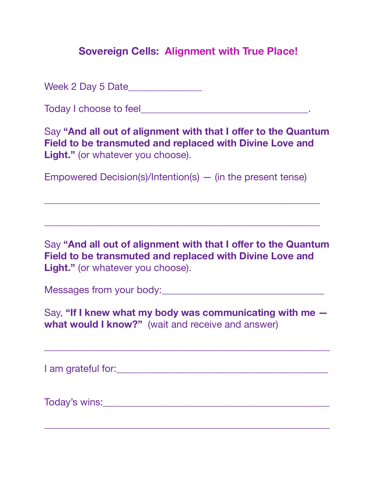Week 2 Day 5 Date\_\_\_\_\_\_\_\_\_\_\_\_\_\_\_

Today I choose to feel **The Executive Contract Contract Contract Contract Contract Contract Contract Contract Contract Contract Contract Contract Contract Contract Contract Contract Contract Contract Contract Contract Cont** 

Say "And all out of alignment with that I offer to the Quantum **Field to be transmuted and replaced with Divine Love and Light."** (or whatever you choose).

Empowered Decision(s)/Intention(s) — (in the present tense)

\_\_\_\_\_\_\_\_\_\_\_\_\_\_\_\_\_\_\_\_\_\_\_\_\_\_\_\_\_\_\_\_\_\_\_\_\_\_\_\_\_\_\_\_\_\_\_\_\_\_\_\_\_\_\_\_

\_\_\_\_\_\_\_\_\_\_\_\_\_\_\_\_\_\_\_\_\_\_\_\_\_\_\_\_\_\_\_\_\_\_\_\_\_\_\_\_\_\_\_\_\_\_\_\_\_\_\_\_\_\_\_\_

Say **"And all out of alignment with that I offer to the Quantum Field to be transmuted and replaced with Divine Love and**  Light." (or whatever you choose).

Messages from your body:\_\_\_\_\_\_\_\_\_\_\_\_\_\_\_\_\_\_\_\_\_\_\_\_\_\_\_\_\_\_\_\_\_

Say, **"If I knew what my body was communicating with me what would I know?"** (wait and receive and answer)

\_\_\_\_\_\_\_\_\_\_\_\_\_\_\_\_\_\_\_\_\_\_\_\_\_\_\_\_\_\_\_\_\_\_\_\_\_\_\_\_\_\_\_\_\_\_\_\_\_\_\_\_\_\_\_\_\_\_

I am grateful for:  $\blacksquare$ 

Today's wins:\_\_\_\_\_\_\_\_\_\_\_\_\_\_\_\_\_\_\_\_\_\_\_\_\_\_\_\_\_\_\_\_\_\_\_\_\_\_\_\_\_\_\_\_\_\_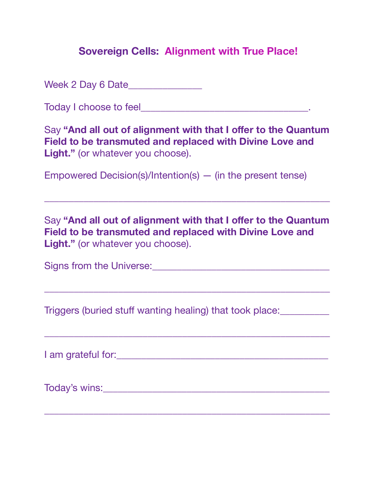Week 2 Day 6 Date\_\_\_\_\_\_\_\_\_\_\_\_\_\_\_

Today I choose to feel\_\_\_\_\_\_\_\_\_\_\_\_\_\_\_\_\_\_\_\_\_\_\_\_\_\_\_\_\_\_\_\_\_\_.

Say "And all out of alignment with that I offer to the Quantum **Field to be transmuted and replaced with Divine Love and Light."** (or whatever you choose).

Empowered Decision(s)/Intention(s) — (in the present tense)

Say "And all out of alignment with that I offer to the Quantum **Field to be transmuted and replaced with Divine Love and Light."** (or whatever you choose).

\_\_\_\_\_\_\_\_\_\_\_\_\_\_\_\_\_\_\_\_\_\_\_\_\_\_\_\_\_\_\_\_\_\_\_\_\_\_\_\_\_\_\_\_\_\_\_\_\_\_\_\_\_\_\_\_\_\_

\_\_\_\_\_\_\_\_\_\_\_\_\_\_\_\_\_\_\_\_\_\_\_\_\_\_\_\_\_\_\_\_\_\_\_\_\_\_\_\_\_\_\_\_\_\_\_\_\_\_\_\_\_\_\_\_\_\_

\_\_\_\_\_\_\_\_\_\_\_\_\_\_\_\_\_\_\_\_\_\_\_\_\_\_\_\_\_\_\_\_\_\_\_\_\_\_\_\_\_\_\_\_\_\_\_\_\_\_\_\_\_\_\_\_\_\_

Signs from the Universe:\_\_\_\_\_\_\_\_\_\_\_\_\_\_\_\_\_\_\_\_\_\_\_\_\_\_\_\_\_\_\_\_\_\_\_\_

Triggers (buried stuff wanting healing) that took place:\_\_\_\_\_\_\_\_\_\_

I am grateful for:\_\_\_\_\_\_\_\_\_\_\_\_\_\_\_\_\_\_\_\_\_\_\_\_\_\_\_\_\_\_\_\_\_\_\_\_\_\_\_\_\_\_\_

Today's wins:\_\_\_\_\_\_\_\_\_\_\_\_\_\_\_\_\_\_\_\_\_\_\_\_\_\_\_\_\_\_\_\_\_\_\_\_\_\_\_\_\_\_\_\_\_\_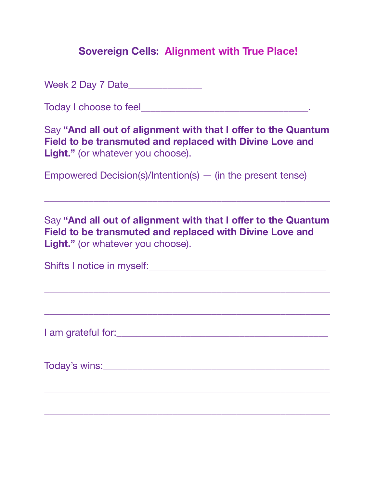Week 2 Day 7 Date\_\_\_\_\_\_\_\_\_\_\_\_\_\_\_

Today I choose to feel\_\_\_\_\_\_\_\_\_\_\_\_\_\_\_\_\_\_\_\_\_\_\_\_\_\_\_\_\_\_\_\_\_\_.

Say "And all out of alignment with that I offer to the Quantum **Field to be transmuted and replaced with Divine Love and Light."** (or whatever you choose).

Empowered Decision(s)/Intention(s) — (in the present tense)

Say "And all out of alignment with that I offer to the Quantum **Field to be transmuted and replaced with Divine Love and Light."** (or whatever you choose).

\_\_\_\_\_\_\_\_\_\_\_\_\_\_\_\_\_\_\_\_\_\_\_\_\_\_\_\_\_\_\_\_\_\_\_\_\_\_\_\_\_\_\_\_\_\_\_\_\_\_\_\_\_\_\_\_\_\_

| Shifts I notice in myself: |  |
|----------------------------|--|
|                            |  |

\_\_\_\_\_\_\_\_\_\_\_\_\_\_\_\_\_\_\_\_\_\_\_\_\_\_\_\_\_\_\_\_\_\_\_\_\_\_\_\_\_\_\_\_\_\_\_\_\_\_\_\_\_\_\_\_\_\_

\_\_\_\_\_\_\_\_\_\_\_\_\_\_\_\_\_\_\_\_\_\_\_\_\_\_\_\_\_\_\_\_\_\_\_\_\_\_\_\_\_\_\_\_\_\_\_\_\_\_\_\_\_\_\_\_\_\_

I am grateful for:\_\_\_\_\_\_\_\_\_\_\_\_\_\_\_\_\_\_\_\_\_\_\_\_\_\_\_\_\_\_\_\_\_\_\_\_\_\_\_\_\_\_\_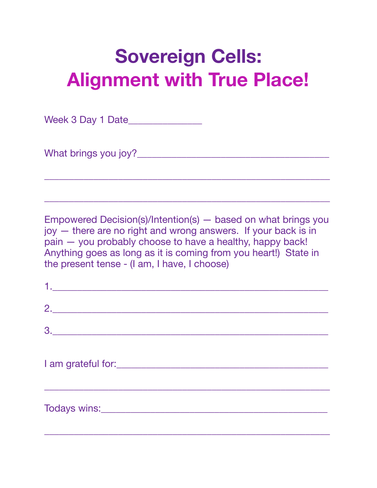Week 3 Day 1 Date\_\_\_\_\_\_\_\_\_\_\_\_\_\_\_

What brings you joy?\_\_\_\_\_\_\_\_\_\_\_\_\_\_\_\_\_\_\_\_\_\_\_\_\_\_\_\_\_\_\_\_\_\_\_\_\_\_\_

Empowered Decision(s)/Intention(s) — based on what brings you joy — there are no right and wrong answers. If your back is in pain — you probably choose to have a healthy, happy back! Anything goes as long as it is coming from you heart!) State in the present tense - (I am, I have, I choose)

\_\_\_\_\_\_\_\_\_\_\_\_\_\_\_\_\_\_\_\_\_\_\_\_\_\_\_\_\_\_\_\_\_\_\_\_\_\_\_\_\_\_\_\_\_\_\_\_\_\_\_\_\_\_\_\_\_\_

| <u>1. _______________________________</u> |  |  |
|-------------------------------------------|--|--|
|                                           |  |  |
| 3.                                        |  |  |
|                                           |  |  |
|                                           |  |  |
|                                           |  |  |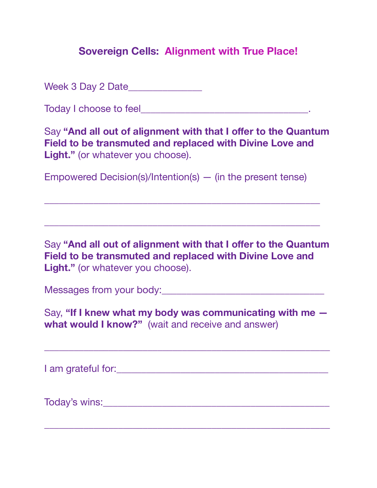Week 3 Day 2 Date\_\_\_\_\_\_\_\_\_\_\_\_\_\_\_

Today I choose to feel **The Executive Contract Contract Contract Contract Contract Contract Contract Contract Contract Contract Contract Contract Contract Contract Contract Contract Contract Contract Contract Contract Cont** 

Say "And all out of alignment with that I offer to the Quantum **Field to be transmuted and replaced with Divine Love and Light."** (or whatever you choose).

Empowered Decision(s)/Intention(s) — (in the present tense)

\_\_\_\_\_\_\_\_\_\_\_\_\_\_\_\_\_\_\_\_\_\_\_\_\_\_\_\_\_\_\_\_\_\_\_\_\_\_\_\_\_\_\_\_\_\_\_\_\_\_\_\_\_\_\_\_

\_\_\_\_\_\_\_\_\_\_\_\_\_\_\_\_\_\_\_\_\_\_\_\_\_\_\_\_\_\_\_\_\_\_\_\_\_\_\_\_\_\_\_\_\_\_\_\_\_\_\_\_\_\_\_\_

Say **"And all out of alignment with that I offer to the Quantum Field to be transmuted and replaced with Divine Love and**  Light." (or whatever you choose).

Messages from your body:\_\_\_\_\_\_\_\_\_\_\_\_\_\_\_\_\_\_\_\_\_\_\_\_\_\_\_\_\_\_\_\_\_

Say, **"If I knew what my body was communicating with me what would I know?"** (wait and receive and answer)

\_\_\_\_\_\_\_\_\_\_\_\_\_\_\_\_\_\_\_\_\_\_\_\_\_\_\_\_\_\_\_\_\_\_\_\_\_\_\_\_\_\_\_\_\_\_\_\_\_\_\_\_\_\_\_\_\_\_

I am grateful for:  $\blacksquare$ 

Today's wins:\_\_\_\_\_\_\_\_\_\_\_\_\_\_\_\_\_\_\_\_\_\_\_\_\_\_\_\_\_\_\_\_\_\_\_\_\_\_\_\_\_\_\_\_\_\_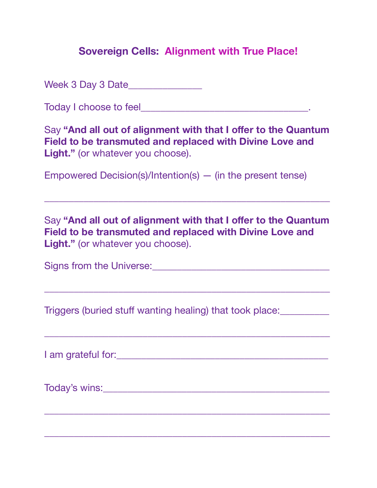Week 3 Day 3 Date\_\_\_\_\_\_\_\_\_\_\_\_\_\_\_

Today I choose to feel\_\_\_\_\_\_\_\_\_\_\_\_\_\_\_\_\_\_\_\_\_\_\_\_\_\_\_\_\_\_\_\_\_\_.

Say "And all out of alignment with that I offer to the Quantum **Field to be transmuted and replaced with Divine Love and Light."** (or whatever you choose).

Empowered Decision(s)/Intention(s) — (in the present tense)

Say "And all out of alignment with that I offer to the Quantum **Field to be transmuted and replaced with Divine Love and Light."** (or whatever you choose).

\_\_\_\_\_\_\_\_\_\_\_\_\_\_\_\_\_\_\_\_\_\_\_\_\_\_\_\_\_\_\_\_\_\_\_\_\_\_\_\_\_\_\_\_\_\_\_\_\_\_\_\_\_\_\_\_\_\_

\_\_\_\_\_\_\_\_\_\_\_\_\_\_\_\_\_\_\_\_\_\_\_\_\_\_\_\_\_\_\_\_\_\_\_\_\_\_\_\_\_\_\_\_\_\_\_\_\_\_\_\_\_\_\_\_\_\_

\_\_\_\_\_\_\_\_\_\_\_\_\_\_\_\_\_\_\_\_\_\_\_\_\_\_\_\_\_\_\_\_\_\_\_\_\_\_\_\_\_\_\_\_\_\_\_\_\_\_\_\_\_\_\_\_\_\_

\_\_\_\_\_\_\_\_\_\_\_\_\_\_\_\_\_\_\_\_\_\_\_\_\_\_\_\_\_\_\_\_\_\_\_\_\_\_\_\_\_\_\_\_\_\_\_\_\_\_\_\_\_\_\_\_\_\_

\_\_\_\_\_\_\_\_\_\_\_\_\_\_\_\_\_\_\_\_\_\_\_\_\_\_\_\_\_\_\_\_\_\_\_\_\_\_\_\_\_\_\_\_\_\_\_\_\_\_\_\_\_\_\_\_\_\_

Signs from the Universe:\_\_\_\_\_\_\_\_\_\_\_\_\_\_\_\_\_\_\_\_\_\_\_\_\_\_\_\_\_\_\_\_\_\_\_\_

Triggers (buried stuff wanting healing) that took place:\_\_\_\_\_\_\_\_\_\_

I am grateful for:\_\_\_\_\_\_\_\_\_\_\_\_\_\_\_\_\_\_\_\_\_\_\_\_\_\_\_\_\_\_\_\_\_\_\_\_\_\_\_\_\_\_\_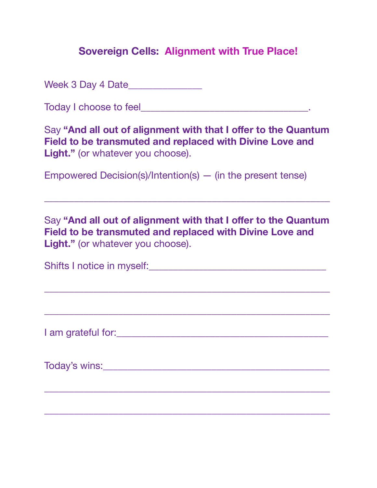Week 3 Day 4 Date\_\_\_\_\_\_\_\_\_\_\_\_\_\_\_

Today I choose to feel\_\_\_\_\_\_\_\_\_\_\_\_\_\_\_\_\_\_\_\_\_\_\_\_\_\_\_\_\_\_\_\_\_\_.

Say "And all out of alignment with that I offer to the Quantum **Field to be transmuted and replaced with Divine Love and Light."** (or whatever you choose).

Empowered Decision(s)/Intention(s) — (in the present tense)

Say "And all out of alignment with that I offer to the Quantum **Field to be transmuted and replaced with Divine Love and Light."** (or whatever you choose).

\_\_\_\_\_\_\_\_\_\_\_\_\_\_\_\_\_\_\_\_\_\_\_\_\_\_\_\_\_\_\_\_\_\_\_\_\_\_\_\_\_\_\_\_\_\_\_\_\_\_\_\_\_\_\_\_\_\_

| Shifts I notice in myself: |  |
|----------------------------|--|
|                            |  |

\_\_\_\_\_\_\_\_\_\_\_\_\_\_\_\_\_\_\_\_\_\_\_\_\_\_\_\_\_\_\_\_\_\_\_\_\_\_\_\_\_\_\_\_\_\_\_\_\_\_\_\_\_\_\_\_\_\_

\_\_\_\_\_\_\_\_\_\_\_\_\_\_\_\_\_\_\_\_\_\_\_\_\_\_\_\_\_\_\_\_\_\_\_\_\_\_\_\_\_\_\_\_\_\_\_\_\_\_\_\_\_\_\_\_\_\_

I am grateful for:\_\_\_\_\_\_\_\_\_\_\_\_\_\_\_\_\_\_\_\_\_\_\_\_\_\_\_\_\_\_\_\_\_\_\_\_\_\_\_\_\_\_\_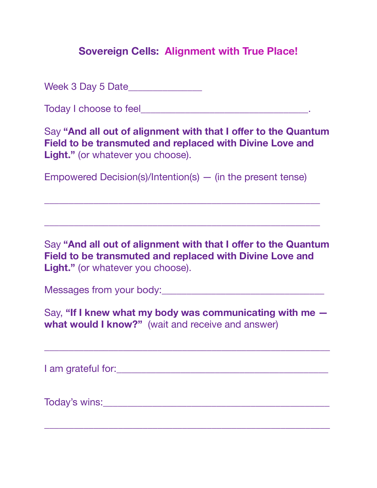Week 3 Day 5 Date\_\_\_\_\_\_\_\_\_\_\_\_\_\_\_

Today I choose to feel **The Executive Contract Contract Contract Contract Contract Contract Contract Contract Contract Contract Contract Contract Contract Contract Contract Contract Contract Contract Contract Contract Cont** 

Say "And all out of alignment with that I offer to the Quantum **Field to be transmuted and replaced with Divine Love and Light."** (or whatever you choose).

Empowered Decision(s)/Intention(s) — (in the present tense)

\_\_\_\_\_\_\_\_\_\_\_\_\_\_\_\_\_\_\_\_\_\_\_\_\_\_\_\_\_\_\_\_\_\_\_\_\_\_\_\_\_\_\_\_\_\_\_\_\_\_\_\_\_\_\_\_

\_\_\_\_\_\_\_\_\_\_\_\_\_\_\_\_\_\_\_\_\_\_\_\_\_\_\_\_\_\_\_\_\_\_\_\_\_\_\_\_\_\_\_\_\_\_\_\_\_\_\_\_\_\_\_\_

Say **"And all out of alignment with that I offer to the Quantum Field to be transmuted and replaced with Divine Love and**  Light." (or whatever you choose).

Messages from your body:\_\_\_\_\_\_\_\_\_\_\_\_\_\_\_\_\_\_\_\_\_\_\_\_\_\_\_\_\_\_\_\_\_

Say, **"If I knew what my body was communicating with me what would I know?"** (wait and receive and answer)

\_\_\_\_\_\_\_\_\_\_\_\_\_\_\_\_\_\_\_\_\_\_\_\_\_\_\_\_\_\_\_\_\_\_\_\_\_\_\_\_\_\_\_\_\_\_\_\_\_\_\_\_\_\_\_\_\_\_

I am grateful for:  $\blacksquare$ 

Today's wins:\_\_\_\_\_\_\_\_\_\_\_\_\_\_\_\_\_\_\_\_\_\_\_\_\_\_\_\_\_\_\_\_\_\_\_\_\_\_\_\_\_\_\_\_\_\_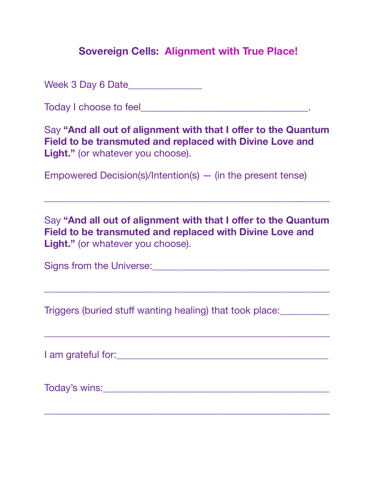Week 3 Day 6 Date\_\_\_\_\_\_\_\_\_\_\_\_\_\_\_

Today I choose to feel\_\_\_\_\_\_\_\_\_\_\_\_\_\_\_\_\_\_\_\_\_\_\_\_\_\_\_\_\_\_\_\_\_\_.

Say "And all out of alignment with that I offer to the Quantum **Field to be transmuted and replaced with Divine Love and Light."** (or whatever you choose).

Empowered Decision(s)/Intention(s) — (in the present tense)

Say "And all out of alignment with that I offer to the Quantum **Field to be transmuted and replaced with Divine Love and Light."** (or whatever you choose).

\_\_\_\_\_\_\_\_\_\_\_\_\_\_\_\_\_\_\_\_\_\_\_\_\_\_\_\_\_\_\_\_\_\_\_\_\_\_\_\_\_\_\_\_\_\_\_\_\_\_\_\_\_\_\_\_\_\_

\_\_\_\_\_\_\_\_\_\_\_\_\_\_\_\_\_\_\_\_\_\_\_\_\_\_\_\_\_\_\_\_\_\_\_\_\_\_\_\_\_\_\_\_\_\_\_\_\_\_\_\_\_\_\_\_\_\_

\_\_\_\_\_\_\_\_\_\_\_\_\_\_\_\_\_\_\_\_\_\_\_\_\_\_\_\_\_\_\_\_\_\_\_\_\_\_\_\_\_\_\_\_\_\_\_\_\_\_\_\_\_\_\_\_\_\_

Signs from the Universe:\_\_\_\_\_\_\_\_\_\_\_\_\_\_\_\_\_\_\_\_\_\_\_\_\_\_\_\_\_\_\_\_\_\_\_\_

Triggers (buried stuff wanting healing) that took place:\_\_\_\_\_\_\_\_\_\_

I am grateful for:\_\_\_\_\_\_\_\_\_\_\_\_\_\_\_\_\_\_\_\_\_\_\_\_\_\_\_\_\_\_\_\_\_\_\_\_\_\_\_\_\_\_\_

Today's wins:\_\_\_\_\_\_\_\_\_\_\_\_\_\_\_\_\_\_\_\_\_\_\_\_\_\_\_\_\_\_\_\_\_\_\_\_\_\_\_\_\_\_\_\_\_\_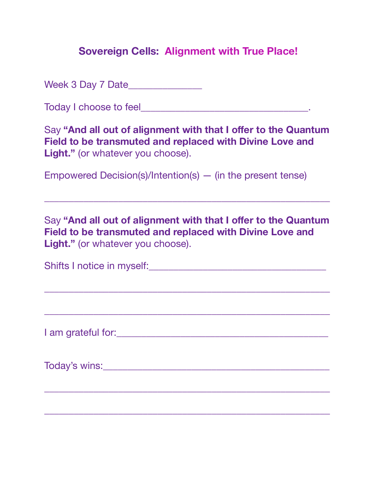Week 3 Day 7 Date\_\_\_\_\_\_\_\_\_\_\_\_\_\_\_

Today I choose to feel\_\_\_\_\_\_\_\_\_\_\_\_\_\_\_\_\_\_\_\_\_\_\_\_\_\_\_\_\_\_\_\_\_\_.

Say "And all out of alignment with that I offer to the Quantum **Field to be transmuted and replaced with Divine Love and Light."** (or whatever you choose).

Empowered Decision(s)/Intention(s) — (in the present tense)

Say "And all out of alignment with that I offer to the Quantum **Field to be transmuted and replaced with Divine Love and Light."** (or whatever you choose).

\_\_\_\_\_\_\_\_\_\_\_\_\_\_\_\_\_\_\_\_\_\_\_\_\_\_\_\_\_\_\_\_\_\_\_\_\_\_\_\_\_\_\_\_\_\_\_\_\_\_\_\_\_\_\_\_\_\_

| Shifts I notice in myself: |  |
|----------------------------|--|
|                            |  |

\_\_\_\_\_\_\_\_\_\_\_\_\_\_\_\_\_\_\_\_\_\_\_\_\_\_\_\_\_\_\_\_\_\_\_\_\_\_\_\_\_\_\_\_\_\_\_\_\_\_\_\_\_\_\_\_\_\_

\_\_\_\_\_\_\_\_\_\_\_\_\_\_\_\_\_\_\_\_\_\_\_\_\_\_\_\_\_\_\_\_\_\_\_\_\_\_\_\_\_\_\_\_\_\_\_\_\_\_\_\_\_\_\_\_\_\_

I am grateful for:\_\_\_\_\_\_\_\_\_\_\_\_\_\_\_\_\_\_\_\_\_\_\_\_\_\_\_\_\_\_\_\_\_\_\_\_\_\_\_\_\_\_\_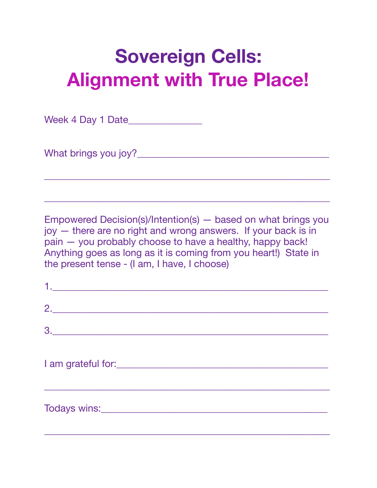Week 4 Day 1 Date\_\_\_\_\_\_\_\_\_\_\_\_\_\_\_

What brings you joy?\_\_\_\_\_\_\_\_\_\_\_\_\_\_\_\_\_\_\_\_\_\_\_\_\_\_\_\_\_\_\_\_\_\_\_\_\_\_\_

Empowered Decision(s)/Intention(s) — based on what brings you joy — there are no right and wrong answers. If your back is in pain — you probably choose to have a healthy, happy back! Anything goes as long as it is coming from you heart!) State in the present tense - (I am, I have, I choose)

\_\_\_\_\_\_\_\_\_\_\_\_\_\_\_\_\_\_\_\_\_\_\_\_\_\_\_\_\_\_\_\_\_\_\_\_\_\_\_\_\_\_\_\_\_\_\_\_\_\_\_\_\_\_\_\_\_\_

| <u>1. _______________________________</u> |  |  |
|-------------------------------------------|--|--|
|                                           |  |  |
| 3.                                        |  |  |
|                                           |  |  |
|                                           |  |  |
|                                           |  |  |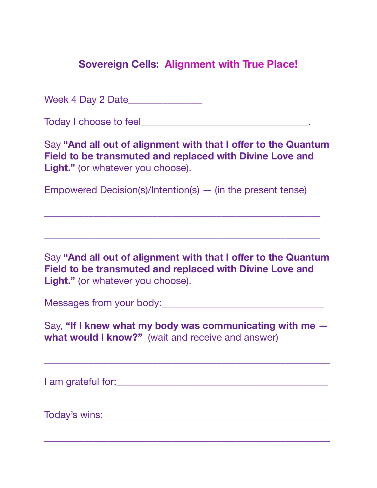Week 4 Day 2 Date\_\_\_\_\_\_\_\_\_\_\_\_\_\_\_

Today I choose to feel **The Executive Contract Contract Contract Contract Contract Contract Contract Contract Contract Contract Contract Contract Contract Contract Contract Contract Contract Contract Contract Contract Cont** 

Say "And all out of alignment with that I offer to the Quantum **Field to be transmuted and replaced with Divine Love and Light."** (or whatever you choose).

Empowered Decision(s)/Intention(s) — (in the present tense)

\_\_\_\_\_\_\_\_\_\_\_\_\_\_\_\_\_\_\_\_\_\_\_\_\_\_\_\_\_\_\_\_\_\_\_\_\_\_\_\_\_\_\_\_\_\_\_\_\_\_\_\_\_\_\_\_

\_\_\_\_\_\_\_\_\_\_\_\_\_\_\_\_\_\_\_\_\_\_\_\_\_\_\_\_\_\_\_\_\_\_\_\_\_\_\_\_\_\_\_\_\_\_\_\_\_\_\_\_\_\_\_\_

Say "And all out of alignment with that I offer to the Quantum **Field to be transmuted and replaced with Divine Love and Light."** (or whatever you choose).

Messages from your body:\_\_\_\_\_\_\_\_\_\_\_\_\_\_\_\_\_\_\_\_\_\_\_\_\_\_\_\_\_\_\_\_\_

Say, **"If I knew what my body was communicating with me what would I know?"** (wait and receive and answer)

\_\_\_\_\_\_\_\_\_\_\_\_\_\_\_\_\_\_\_\_\_\_\_\_\_\_\_\_\_\_\_\_\_\_\_\_\_\_\_\_\_\_\_\_\_\_\_\_\_\_\_\_\_\_\_\_\_\_

\_\_\_\_\_\_\_\_\_\_\_\_\_\_\_\_\_\_\_\_\_\_\_\_\_\_\_\_\_\_\_\_\_\_\_\_\_\_\_\_\_\_\_\_\_\_\_\_\_\_\_\_\_\_\_\_\_\_

I am grateful for:\_\_\_\_\_\_\_\_\_\_\_\_\_\_\_\_\_\_\_\_\_\_\_\_\_\_\_\_\_\_\_\_\_\_\_\_\_\_\_\_\_\_\_

Today's wins: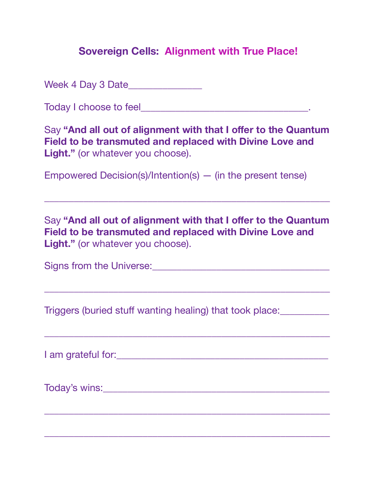Week 4 Day 3 Date\_\_\_\_\_\_\_\_\_\_\_\_\_\_\_

Today I choose to feel\_\_\_\_\_\_\_\_\_\_\_\_\_\_\_\_\_\_\_\_\_\_\_\_\_\_\_\_\_\_\_\_\_\_.

Say "And all out of alignment with that I offer to the Quantum **Field to be transmuted and replaced with Divine Love and Light."** (or whatever you choose).

Empowered Decision(s)/Intention(s) — (in the present tense)

Say "And all out of alignment with that I offer to the Quantum **Field to be transmuted and replaced with Divine Love and Light."** (or whatever you choose).

\_\_\_\_\_\_\_\_\_\_\_\_\_\_\_\_\_\_\_\_\_\_\_\_\_\_\_\_\_\_\_\_\_\_\_\_\_\_\_\_\_\_\_\_\_\_\_\_\_\_\_\_\_\_\_\_\_\_

\_\_\_\_\_\_\_\_\_\_\_\_\_\_\_\_\_\_\_\_\_\_\_\_\_\_\_\_\_\_\_\_\_\_\_\_\_\_\_\_\_\_\_\_\_\_\_\_\_\_\_\_\_\_\_\_\_\_

\_\_\_\_\_\_\_\_\_\_\_\_\_\_\_\_\_\_\_\_\_\_\_\_\_\_\_\_\_\_\_\_\_\_\_\_\_\_\_\_\_\_\_\_\_\_\_\_\_\_\_\_\_\_\_\_\_\_

\_\_\_\_\_\_\_\_\_\_\_\_\_\_\_\_\_\_\_\_\_\_\_\_\_\_\_\_\_\_\_\_\_\_\_\_\_\_\_\_\_\_\_\_\_\_\_\_\_\_\_\_\_\_\_\_\_\_

\_\_\_\_\_\_\_\_\_\_\_\_\_\_\_\_\_\_\_\_\_\_\_\_\_\_\_\_\_\_\_\_\_\_\_\_\_\_\_\_\_\_\_\_\_\_\_\_\_\_\_\_\_\_\_\_\_\_

Signs from the Universe:\_\_\_\_\_\_\_\_\_\_\_\_\_\_\_\_\_\_\_\_\_\_\_\_\_\_\_\_\_\_\_\_\_\_\_\_

Triggers (buried stuff wanting healing) that took place:\_\_\_\_\_\_\_\_\_\_

I am grateful for:\_\_\_\_\_\_\_\_\_\_\_\_\_\_\_\_\_\_\_\_\_\_\_\_\_\_\_\_\_\_\_\_\_\_\_\_\_\_\_\_\_\_\_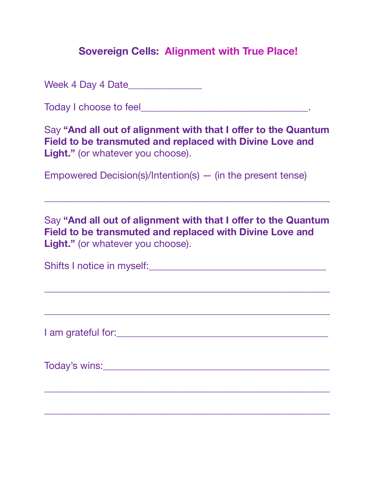Week 4 Day 4 Date\_\_\_\_\_\_\_\_\_\_\_\_\_\_\_

Today I choose to feel\_\_\_\_\_\_\_\_\_\_\_\_\_\_\_\_\_\_\_\_\_\_\_\_\_\_\_\_\_\_\_\_\_\_.

Say "And all out of alignment with that I offer to the Quantum **Field to be transmuted and replaced with Divine Love and Light."** (or whatever you choose).

Empowered Decision(s)/Intention(s) — (in the present tense)

Say "And all out of alignment with that I offer to the Quantum **Field to be transmuted and replaced with Divine Love and Light."** (or whatever you choose).

\_\_\_\_\_\_\_\_\_\_\_\_\_\_\_\_\_\_\_\_\_\_\_\_\_\_\_\_\_\_\_\_\_\_\_\_\_\_\_\_\_\_\_\_\_\_\_\_\_\_\_\_\_\_\_\_\_\_

| Shifts I notice in myself: |  |
|----------------------------|--|
|                            |  |

\_\_\_\_\_\_\_\_\_\_\_\_\_\_\_\_\_\_\_\_\_\_\_\_\_\_\_\_\_\_\_\_\_\_\_\_\_\_\_\_\_\_\_\_\_\_\_\_\_\_\_\_\_\_\_\_\_\_

\_\_\_\_\_\_\_\_\_\_\_\_\_\_\_\_\_\_\_\_\_\_\_\_\_\_\_\_\_\_\_\_\_\_\_\_\_\_\_\_\_\_\_\_\_\_\_\_\_\_\_\_\_\_\_\_\_\_

I am grateful for:\_\_\_\_\_\_\_\_\_\_\_\_\_\_\_\_\_\_\_\_\_\_\_\_\_\_\_\_\_\_\_\_\_\_\_\_\_\_\_\_\_\_\_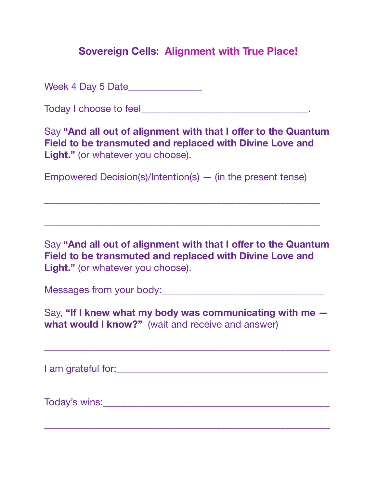Week 4 Day 5 Date\_\_\_\_\_\_\_\_\_\_\_\_\_\_\_

Today I choose to feel **The Executive Contract Contract Contract Contract Contract Contract Contract Contract Contract Contract Contract Contract Contract Contract Contract Contract Contract Contract Contract Contract Cont** 

Say "And all out of alignment with that I offer to the Quantum **Field to be transmuted and replaced with Divine Love and Light."** (or whatever you choose).

Empowered Decision(s)/Intention(s) — (in the present tense)

\_\_\_\_\_\_\_\_\_\_\_\_\_\_\_\_\_\_\_\_\_\_\_\_\_\_\_\_\_\_\_\_\_\_\_\_\_\_\_\_\_\_\_\_\_\_\_\_\_\_\_\_\_\_\_\_

\_\_\_\_\_\_\_\_\_\_\_\_\_\_\_\_\_\_\_\_\_\_\_\_\_\_\_\_\_\_\_\_\_\_\_\_\_\_\_\_\_\_\_\_\_\_\_\_\_\_\_\_\_\_\_\_

Say **"And all out of alignment with that I offer to the Quantum Field to be transmuted and replaced with Divine Love and**  Light." (or whatever you choose).

Messages from your body:\_\_\_\_\_\_\_\_\_\_\_\_\_\_\_\_\_\_\_\_\_\_\_\_\_\_\_\_\_\_\_\_\_

Say, **"If I knew what my body was communicating with me what would I know?"** (wait and receive and answer)

\_\_\_\_\_\_\_\_\_\_\_\_\_\_\_\_\_\_\_\_\_\_\_\_\_\_\_\_\_\_\_\_\_\_\_\_\_\_\_\_\_\_\_\_\_\_\_\_\_\_\_\_\_\_\_\_\_\_

I am grateful for:  $\blacksquare$ 

Today's wins:\_\_\_\_\_\_\_\_\_\_\_\_\_\_\_\_\_\_\_\_\_\_\_\_\_\_\_\_\_\_\_\_\_\_\_\_\_\_\_\_\_\_\_\_\_\_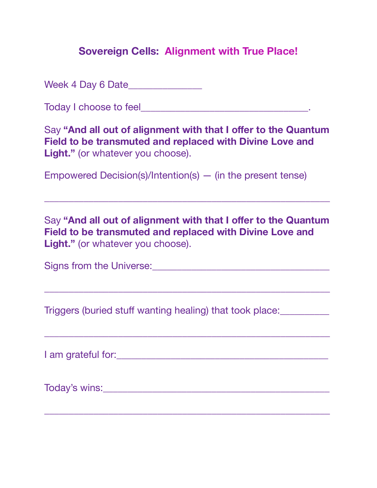Week 4 Day 6 Date\_\_\_\_\_\_\_\_\_\_\_\_\_\_\_

Today I choose to feel\_\_\_\_\_\_\_\_\_\_\_\_\_\_\_\_\_\_\_\_\_\_\_\_\_\_\_\_\_\_\_\_\_\_.

Say "And all out of alignment with that I offer to the Quantum **Field to be transmuted and replaced with Divine Love and Light."** (or whatever you choose).

Empowered Decision(s)/Intention(s) — (in the present tense)

Say "And all out of alignment with that I offer to the Quantum **Field to be transmuted and replaced with Divine Love and Light."** (or whatever you choose).

\_\_\_\_\_\_\_\_\_\_\_\_\_\_\_\_\_\_\_\_\_\_\_\_\_\_\_\_\_\_\_\_\_\_\_\_\_\_\_\_\_\_\_\_\_\_\_\_\_\_\_\_\_\_\_\_\_\_

\_\_\_\_\_\_\_\_\_\_\_\_\_\_\_\_\_\_\_\_\_\_\_\_\_\_\_\_\_\_\_\_\_\_\_\_\_\_\_\_\_\_\_\_\_\_\_\_\_\_\_\_\_\_\_\_\_\_

\_\_\_\_\_\_\_\_\_\_\_\_\_\_\_\_\_\_\_\_\_\_\_\_\_\_\_\_\_\_\_\_\_\_\_\_\_\_\_\_\_\_\_\_\_\_\_\_\_\_\_\_\_\_\_\_\_\_

Signs from the Universe:\_\_\_\_\_\_\_\_\_\_\_\_\_\_\_\_\_\_\_\_\_\_\_\_\_\_\_\_\_\_\_\_\_\_\_\_

Triggers (buried stuff wanting healing) that took place:\_\_\_\_\_\_\_\_\_\_

I am grateful for:\_\_\_\_\_\_\_\_\_\_\_\_\_\_\_\_\_\_\_\_\_\_\_\_\_\_\_\_\_\_\_\_\_\_\_\_\_\_\_\_\_\_\_

Today's wins:\_\_\_\_\_\_\_\_\_\_\_\_\_\_\_\_\_\_\_\_\_\_\_\_\_\_\_\_\_\_\_\_\_\_\_\_\_\_\_\_\_\_\_\_\_\_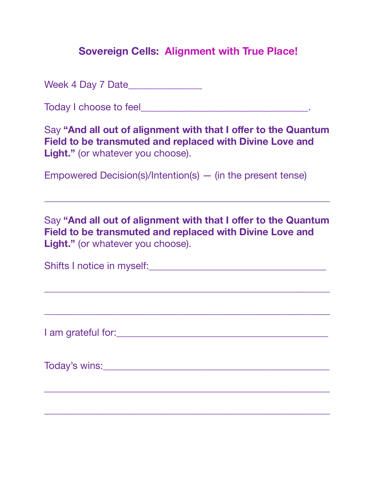Week 4 Day 7 Date\_\_\_\_\_\_\_\_\_\_\_\_\_\_\_

Today I choose to feel\_\_\_\_\_\_\_\_\_\_\_\_\_\_\_\_\_\_\_\_\_\_\_\_\_\_\_\_\_\_\_\_\_\_.

Say "And all out of alignment with that I offer to the Quantum **Field to be transmuted and replaced with Divine Love and Light."** (or whatever you choose).

Empowered Decision(s)/Intention(s) — (in the present tense)

Say "And all out of alignment with that I offer to the Quantum **Field to be transmuted and replaced with Divine Love and Light."** (or whatever you choose).

\_\_\_\_\_\_\_\_\_\_\_\_\_\_\_\_\_\_\_\_\_\_\_\_\_\_\_\_\_\_\_\_\_\_\_\_\_\_\_\_\_\_\_\_\_\_\_\_\_\_\_\_\_\_\_\_\_\_

| Shifts I notice in myself: |  |
|----------------------------|--|
|                            |  |

\_\_\_\_\_\_\_\_\_\_\_\_\_\_\_\_\_\_\_\_\_\_\_\_\_\_\_\_\_\_\_\_\_\_\_\_\_\_\_\_\_\_\_\_\_\_\_\_\_\_\_\_\_\_\_\_\_\_

\_\_\_\_\_\_\_\_\_\_\_\_\_\_\_\_\_\_\_\_\_\_\_\_\_\_\_\_\_\_\_\_\_\_\_\_\_\_\_\_\_\_\_\_\_\_\_\_\_\_\_\_\_\_\_\_\_\_

I am grateful for:\_\_\_\_\_\_\_\_\_\_\_\_\_\_\_\_\_\_\_\_\_\_\_\_\_\_\_\_\_\_\_\_\_\_\_\_\_\_\_\_\_\_\_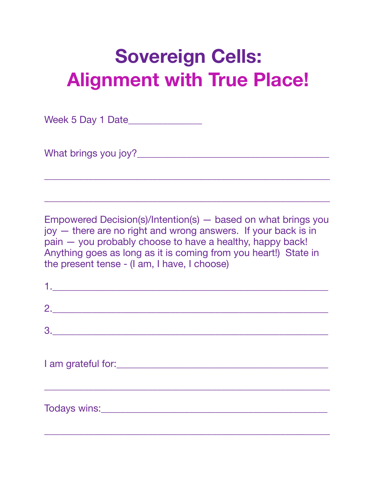Week 5 Day 1 Date\_\_\_\_\_\_\_\_\_\_\_\_\_\_\_

What brings you joy?\_\_\_\_\_\_\_\_\_\_\_\_\_\_\_\_\_\_\_\_\_\_\_\_\_\_\_\_\_\_\_\_\_\_\_\_\_\_\_

Empowered Decision(s)/Intention(s) — based on what brings you joy — there are no right and wrong answers. If your back is in pain — you probably choose to have a healthy, happy back! Anything goes as long as it is coming from you heart!) State in the present tense - (I am, I have, I choose)

\_\_\_\_\_\_\_\_\_\_\_\_\_\_\_\_\_\_\_\_\_\_\_\_\_\_\_\_\_\_\_\_\_\_\_\_\_\_\_\_\_\_\_\_\_\_\_\_\_\_\_\_\_\_\_\_\_\_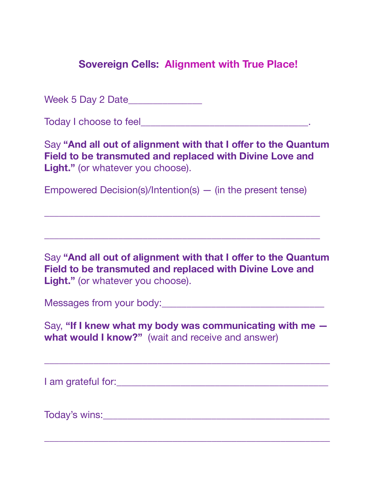Week 5 Day 2 Date\_\_\_\_\_\_\_\_\_\_\_\_\_\_\_

Today I choose to feel **The Executive Contract Contract Contract Contract Contract Contract Contract Contract Contract Contract Contract Contract Contract Contract Contract Contract Contract Contract Contract Contract Cont** 

Say "And all out of alignment with that I offer to the Quantum **Field to be transmuted and replaced with Divine Love and Light."** (or whatever you choose).

Empowered Decision(s)/Intention(s) — (in the present tense)

\_\_\_\_\_\_\_\_\_\_\_\_\_\_\_\_\_\_\_\_\_\_\_\_\_\_\_\_\_\_\_\_\_\_\_\_\_\_\_\_\_\_\_\_\_\_\_\_\_\_\_\_\_\_\_\_

\_\_\_\_\_\_\_\_\_\_\_\_\_\_\_\_\_\_\_\_\_\_\_\_\_\_\_\_\_\_\_\_\_\_\_\_\_\_\_\_\_\_\_\_\_\_\_\_\_\_\_\_\_\_\_\_

Say "And all out of alignment with that I offer to the Quantum **Field to be transmuted and replaced with Divine Love and Light."** (or whatever you choose).

Messages from your body:\_\_\_\_\_\_\_\_\_\_\_\_\_\_\_\_\_\_\_\_\_\_\_\_\_\_\_\_\_\_\_\_\_

Say, **"If I knew what my body was communicating with me what would I know?"** (wait and receive and answer)

\_\_\_\_\_\_\_\_\_\_\_\_\_\_\_\_\_\_\_\_\_\_\_\_\_\_\_\_\_\_\_\_\_\_\_\_\_\_\_\_\_\_\_\_\_\_\_\_\_\_\_\_\_\_\_\_\_\_

\_\_\_\_\_\_\_\_\_\_\_\_\_\_\_\_\_\_\_\_\_\_\_\_\_\_\_\_\_\_\_\_\_\_\_\_\_\_\_\_\_\_\_\_\_\_\_\_\_\_\_\_\_\_\_\_\_\_

I am grateful for:\_\_\_\_\_\_\_\_\_\_\_\_\_\_\_\_\_\_\_\_\_\_\_\_\_\_\_\_\_\_\_\_\_\_\_\_\_\_\_\_\_\_\_

Today's wins: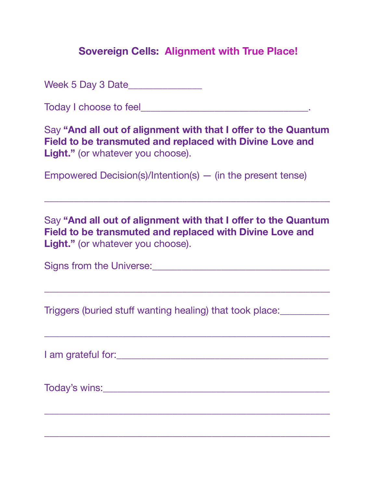Week 5 Day 3 Date\_\_\_\_\_\_\_\_\_\_\_\_\_\_\_

Today I choose to feel\_\_\_\_\_\_\_\_\_\_\_\_\_\_\_\_\_\_\_\_\_\_\_\_\_\_\_\_\_\_\_\_\_\_.

Say "And all out of alignment with that I offer to the Quantum **Field to be transmuted and replaced with Divine Love and Light."** (or whatever you choose).

Empowered Decision(s)/Intention(s) — (in the present tense)

Say "And all out of alignment with that I offer to the Quantum **Field to be transmuted and replaced with Divine Love and Light."** (or whatever you choose).

\_\_\_\_\_\_\_\_\_\_\_\_\_\_\_\_\_\_\_\_\_\_\_\_\_\_\_\_\_\_\_\_\_\_\_\_\_\_\_\_\_\_\_\_\_\_\_\_\_\_\_\_\_\_\_\_\_\_

\_\_\_\_\_\_\_\_\_\_\_\_\_\_\_\_\_\_\_\_\_\_\_\_\_\_\_\_\_\_\_\_\_\_\_\_\_\_\_\_\_\_\_\_\_\_\_\_\_\_\_\_\_\_\_\_\_\_

\_\_\_\_\_\_\_\_\_\_\_\_\_\_\_\_\_\_\_\_\_\_\_\_\_\_\_\_\_\_\_\_\_\_\_\_\_\_\_\_\_\_\_\_\_\_\_\_\_\_\_\_\_\_\_\_\_\_

\_\_\_\_\_\_\_\_\_\_\_\_\_\_\_\_\_\_\_\_\_\_\_\_\_\_\_\_\_\_\_\_\_\_\_\_\_\_\_\_\_\_\_\_\_\_\_\_\_\_\_\_\_\_\_\_\_\_

\_\_\_\_\_\_\_\_\_\_\_\_\_\_\_\_\_\_\_\_\_\_\_\_\_\_\_\_\_\_\_\_\_\_\_\_\_\_\_\_\_\_\_\_\_\_\_\_\_\_\_\_\_\_\_\_\_\_

Signs from the Universe:\_\_\_\_\_\_\_\_\_\_\_\_\_\_\_\_\_\_\_\_\_\_\_\_\_\_\_\_\_\_\_\_\_\_\_\_

Triggers (buried stuff wanting healing) that took place:\_\_\_\_\_\_\_\_\_\_

I am grateful for:\_\_\_\_\_\_\_\_\_\_\_\_\_\_\_\_\_\_\_\_\_\_\_\_\_\_\_\_\_\_\_\_\_\_\_\_\_\_\_\_\_\_\_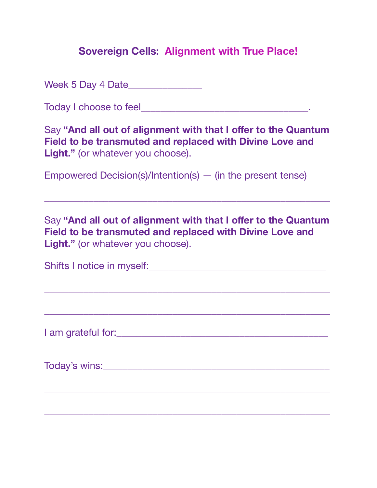Week 5 Day 4 Date\_\_\_\_\_\_\_\_\_\_\_\_\_\_\_

Today I choose to feel\_\_\_\_\_\_\_\_\_\_\_\_\_\_\_\_\_\_\_\_\_\_\_\_\_\_\_\_\_\_\_\_\_\_.

Say "And all out of alignment with that I offer to the Quantum **Field to be transmuted and replaced with Divine Love and Light."** (or whatever you choose).

Empowered Decision(s)/Intention(s) — (in the present tense)

Say "And all out of alignment with that I offer to the Quantum **Field to be transmuted and replaced with Divine Love and Light."** (or whatever you choose).

\_\_\_\_\_\_\_\_\_\_\_\_\_\_\_\_\_\_\_\_\_\_\_\_\_\_\_\_\_\_\_\_\_\_\_\_\_\_\_\_\_\_\_\_\_\_\_\_\_\_\_\_\_\_\_\_\_\_

| Shifts I notice in myself: |  |
|----------------------------|--|
|                            |  |

\_\_\_\_\_\_\_\_\_\_\_\_\_\_\_\_\_\_\_\_\_\_\_\_\_\_\_\_\_\_\_\_\_\_\_\_\_\_\_\_\_\_\_\_\_\_\_\_\_\_\_\_\_\_\_\_\_\_

\_\_\_\_\_\_\_\_\_\_\_\_\_\_\_\_\_\_\_\_\_\_\_\_\_\_\_\_\_\_\_\_\_\_\_\_\_\_\_\_\_\_\_\_\_\_\_\_\_\_\_\_\_\_\_\_\_\_

I am grateful for:\_\_\_\_\_\_\_\_\_\_\_\_\_\_\_\_\_\_\_\_\_\_\_\_\_\_\_\_\_\_\_\_\_\_\_\_\_\_\_\_\_\_\_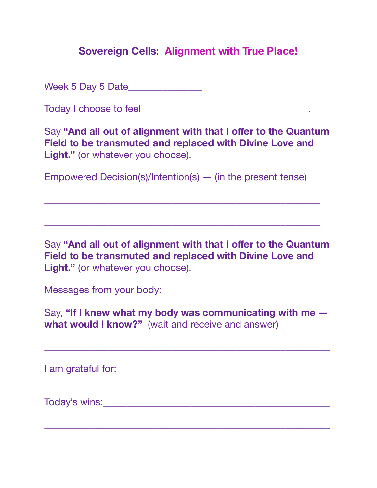Week 5 Day 5 Date\_\_\_\_\_\_\_\_\_\_\_\_\_\_\_

Today I choose to feel **The Executive Contract Contract Contract Contract Contract Contract Contract Contract Contract Contract Contract Contract Contract Contract Contract Contract Contract Contract Contract Contract Cont** 

Say "And all out of alignment with that I offer to the Quantum **Field to be transmuted and replaced with Divine Love and Light."** (or whatever you choose).

Empowered Decision(s)/Intention(s) — (in the present tense)

\_\_\_\_\_\_\_\_\_\_\_\_\_\_\_\_\_\_\_\_\_\_\_\_\_\_\_\_\_\_\_\_\_\_\_\_\_\_\_\_\_\_\_\_\_\_\_\_\_\_\_\_\_\_\_\_

\_\_\_\_\_\_\_\_\_\_\_\_\_\_\_\_\_\_\_\_\_\_\_\_\_\_\_\_\_\_\_\_\_\_\_\_\_\_\_\_\_\_\_\_\_\_\_\_\_\_\_\_\_\_\_\_

Say **"And all out of alignment with that I offer to the Quantum Field to be transmuted and replaced with Divine Love and**  Light." (or whatever you choose).

Messages from your body:\_\_\_\_\_\_\_\_\_\_\_\_\_\_\_\_\_\_\_\_\_\_\_\_\_\_\_\_\_\_\_\_\_

Say, **"If I knew what my body was communicating with me what would I know?"** (wait and receive and answer)

\_\_\_\_\_\_\_\_\_\_\_\_\_\_\_\_\_\_\_\_\_\_\_\_\_\_\_\_\_\_\_\_\_\_\_\_\_\_\_\_\_\_\_\_\_\_\_\_\_\_\_\_\_\_\_\_\_\_

I am grateful for:  $\blacksquare$ 

Today's wins:\_\_\_\_\_\_\_\_\_\_\_\_\_\_\_\_\_\_\_\_\_\_\_\_\_\_\_\_\_\_\_\_\_\_\_\_\_\_\_\_\_\_\_\_\_\_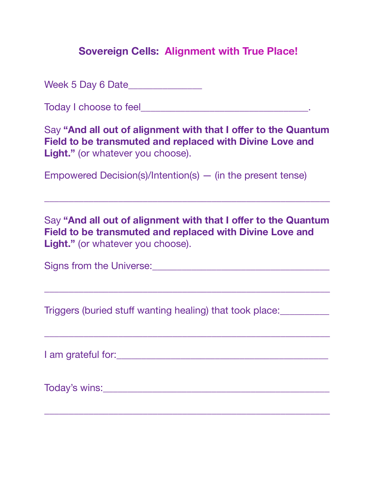Week 5 Day 6 Date\_\_\_\_\_\_\_\_\_\_\_\_\_\_\_

Today I choose to feel\_\_\_\_\_\_\_\_\_\_\_\_\_\_\_\_\_\_\_\_\_\_\_\_\_\_\_\_\_\_\_\_\_\_.

Say "And all out of alignment with that I offer to the Quantum **Field to be transmuted and replaced with Divine Love and Light."** (or whatever you choose).

Empowered Decision(s)/Intention(s) — (in the present tense)

Say "And all out of alignment with that I offer to the Quantum **Field to be transmuted and replaced with Divine Love and Light."** (or whatever you choose).

\_\_\_\_\_\_\_\_\_\_\_\_\_\_\_\_\_\_\_\_\_\_\_\_\_\_\_\_\_\_\_\_\_\_\_\_\_\_\_\_\_\_\_\_\_\_\_\_\_\_\_\_\_\_\_\_\_\_

\_\_\_\_\_\_\_\_\_\_\_\_\_\_\_\_\_\_\_\_\_\_\_\_\_\_\_\_\_\_\_\_\_\_\_\_\_\_\_\_\_\_\_\_\_\_\_\_\_\_\_\_\_\_\_\_\_\_

\_\_\_\_\_\_\_\_\_\_\_\_\_\_\_\_\_\_\_\_\_\_\_\_\_\_\_\_\_\_\_\_\_\_\_\_\_\_\_\_\_\_\_\_\_\_\_\_\_\_\_\_\_\_\_\_\_\_

Signs from the Universe:\_\_\_\_\_\_\_\_\_\_\_\_\_\_\_\_\_\_\_\_\_\_\_\_\_\_\_\_\_\_\_\_\_\_\_\_

Triggers (buried stuff wanting healing) that took place:\_\_\_\_\_\_\_\_\_\_

I am grateful for:\_\_\_\_\_\_\_\_\_\_\_\_\_\_\_\_\_\_\_\_\_\_\_\_\_\_\_\_\_\_\_\_\_\_\_\_\_\_\_\_\_\_\_

Today's wins:\_\_\_\_\_\_\_\_\_\_\_\_\_\_\_\_\_\_\_\_\_\_\_\_\_\_\_\_\_\_\_\_\_\_\_\_\_\_\_\_\_\_\_\_\_\_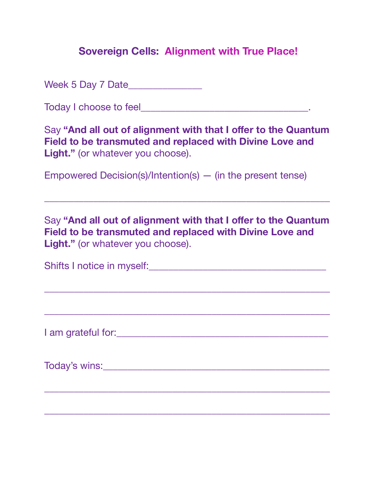Week 5 Day 7 Date\_\_\_\_\_\_\_\_\_\_\_\_\_\_\_

Today I choose to feel\_\_\_\_\_\_\_\_\_\_\_\_\_\_\_\_\_\_\_\_\_\_\_\_\_\_\_\_\_\_\_\_\_\_.

Say "And all out of alignment with that I offer to the Quantum **Field to be transmuted and replaced with Divine Love and Light."** (or whatever you choose).

Empowered Decision(s)/Intention(s) — (in the present tense)

Say "And all out of alignment with that I offer to the Quantum **Field to be transmuted and replaced with Divine Love and Light."** (or whatever you choose).

\_\_\_\_\_\_\_\_\_\_\_\_\_\_\_\_\_\_\_\_\_\_\_\_\_\_\_\_\_\_\_\_\_\_\_\_\_\_\_\_\_\_\_\_\_\_\_\_\_\_\_\_\_\_\_\_\_\_

| Shifts I notice in myself: |  |
|----------------------------|--|
|                            |  |

\_\_\_\_\_\_\_\_\_\_\_\_\_\_\_\_\_\_\_\_\_\_\_\_\_\_\_\_\_\_\_\_\_\_\_\_\_\_\_\_\_\_\_\_\_\_\_\_\_\_\_\_\_\_\_\_\_\_

\_\_\_\_\_\_\_\_\_\_\_\_\_\_\_\_\_\_\_\_\_\_\_\_\_\_\_\_\_\_\_\_\_\_\_\_\_\_\_\_\_\_\_\_\_\_\_\_\_\_\_\_\_\_\_\_\_\_

I am grateful for:\_\_\_\_\_\_\_\_\_\_\_\_\_\_\_\_\_\_\_\_\_\_\_\_\_\_\_\_\_\_\_\_\_\_\_\_\_\_\_\_\_\_\_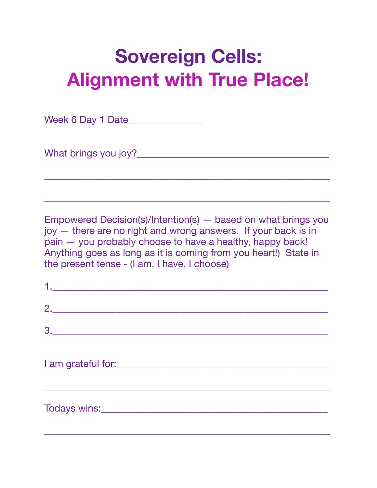Week 6 Day 1 Date\_\_\_\_\_\_\_\_\_\_\_\_\_\_\_\_

What brings you joy?\_\_\_\_\_\_\_\_\_\_\_\_\_\_\_\_\_\_\_\_\_\_\_\_\_\_\_\_\_\_\_\_\_\_\_\_\_\_\_

Empowered Decision(s)/Intention(s) — based on what brings you joy — there are no right and wrong answers. If your back is in pain — you probably choose to have a healthy, happy back! Anything goes as long as it is coming from you heart!) State in the present tense - (I am, I have, I choose)

\_\_\_\_\_\_\_\_\_\_\_\_\_\_\_\_\_\_\_\_\_\_\_\_\_\_\_\_\_\_\_\_\_\_\_\_\_\_\_\_\_\_\_\_\_\_\_\_\_\_\_\_\_\_\_\_\_\_

| 2. |  |  |
|----|--|--|
| 3. |  |  |
|    |  |  |
|    |  |  |
|    |  |  |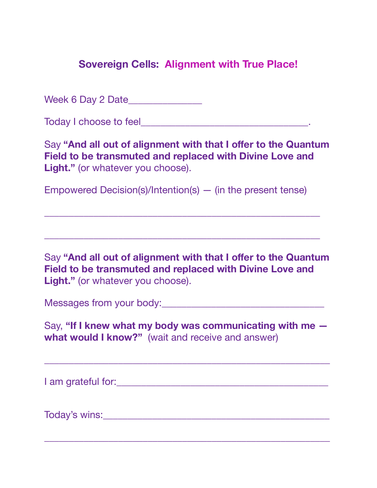Week 6 Day 2 Date\_\_\_\_\_\_\_\_\_\_\_\_\_\_\_

Today I choose to feel **The Executive Contract Contract Contract Contract Contract Contract Contract Contract Contract Contract Contract Contract Contract Contract Contract Contract Contract Contract Contract Contract Cont** 

Say "And all out of alignment with that I offer to the Quantum **Field to be transmuted and replaced with Divine Love and Light."** (or whatever you choose).

Empowered Decision(s)/Intention(s) — (in the present tense)

\_\_\_\_\_\_\_\_\_\_\_\_\_\_\_\_\_\_\_\_\_\_\_\_\_\_\_\_\_\_\_\_\_\_\_\_\_\_\_\_\_\_\_\_\_\_\_\_\_\_\_\_\_\_\_\_

\_\_\_\_\_\_\_\_\_\_\_\_\_\_\_\_\_\_\_\_\_\_\_\_\_\_\_\_\_\_\_\_\_\_\_\_\_\_\_\_\_\_\_\_\_\_\_\_\_\_\_\_\_\_\_\_

Say "And all out of alignment with that I offer to the Quantum **Field to be transmuted and replaced with Divine Love and Light."** (or whatever you choose).

Messages from your body:\_\_\_\_\_\_\_\_\_\_\_\_\_\_\_\_\_\_\_\_\_\_\_\_\_\_\_\_\_\_\_\_\_

Say, **"If I knew what my body was communicating with me what would I know?"** (wait and receive and answer)

\_\_\_\_\_\_\_\_\_\_\_\_\_\_\_\_\_\_\_\_\_\_\_\_\_\_\_\_\_\_\_\_\_\_\_\_\_\_\_\_\_\_\_\_\_\_\_\_\_\_\_\_\_\_\_\_\_\_

\_\_\_\_\_\_\_\_\_\_\_\_\_\_\_\_\_\_\_\_\_\_\_\_\_\_\_\_\_\_\_\_\_\_\_\_\_\_\_\_\_\_\_\_\_\_\_\_\_\_\_\_\_\_\_\_\_\_

I am grateful for:\_\_\_\_\_\_\_\_\_\_\_\_\_\_\_\_\_\_\_\_\_\_\_\_\_\_\_\_\_\_\_\_\_\_\_\_\_\_\_\_\_\_\_

Today's wins: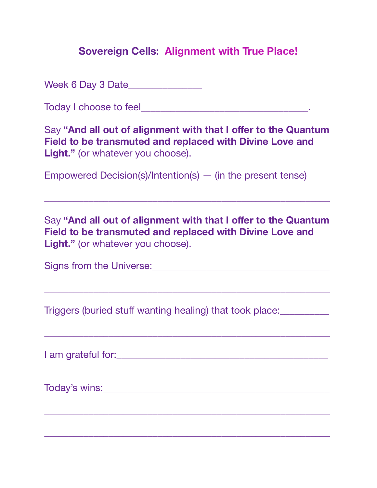Week 6 Day 3 Date\_\_\_\_\_\_\_\_\_\_\_\_\_\_\_

Today I choose to feel\_\_\_\_\_\_\_\_\_\_\_\_\_\_\_\_\_\_\_\_\_\_\_\_\_\_\_\_\_\_\_\_\_\_.

Say "And all out of alignment with that I offer to the Quantum **Field to be transmuted and replaced with Divine Love and Light."** (or whatever you choose).

Empowered Decision(s)/Intention(s) — (in the present tense)

Say "And all out of alignment with that I offer to the Quantum **Field to be transmuted and replaced with Divine Love and Light."** (or whatever you choose).

\_\_\_\_\_\_\_\_\_\_\_\_\_\_\_\_\_\_\_\_\_\_\_\_\_\_\_\_\_\_\_\_\_\_\_\_\_\_\_\_\_\_\_\_\_\_\_\_\_\_\_\_\_\_\_\_\_\_

\_\_\_\_\_\_\_\_\_\_\_\_\_\_\_\_\_\_\_\_\_\_\_\_\_\_\_\_\_\_\_\_\_\_\_\_\_\_\_\_\_\_\_\_\_\_\_\_\_\_\_\_\_\_\_\_\_\_

\_\_\_\_\_\_\_\_\_\_\_\_\_\_\_\_\_\_\_\_\_\_\_\_\_\_\_\_\_\_\_\_\_\_\_\_\_\_\_\_\_\_\_\_\_\_\_\_\_\_\_\_\_\_\_\_\_\_

\_\_\_\_\_\_\_\_\_\_\_\_\_\_\_\_\_\_\_\_\_\_\_\_\_\_\_\_\_\_\_\_\_\_\_\_\_\_\_\_\_\_\_\_\_\_\_\_\_\_\_\_\_\_\_\_\_\_

\_\_\_\_\_\_\_\_\_\_\_\_\_\_\_\_\_\_\_\_\_\_\_\_\_\_\_\_\_\_\_\_\_\_\_\_\_\_\_\_\_\_\_\_\_\_\_\_\_\_\_\_\_\_\_\_\_\_

Signs from the Universe:\_\_\_\_\_\_\_\_\_\_\_\_\_\_\_\_\_\_\_\_\_\_\_\_\_\_\_\_\_\_\_\_\_\_\_\_

Triggers (buried stuff wanting healing) that took place:\_\_\_\_\_\_\_\_\_\_

I am grateful for:\_\_\_\_\_\_\_\_\_\_\_\_\_\_\_\_\_\_\_\_\_\_\_\_\_\_\_\_\_\_\_\_\_\_\_\_\_\_\_\_\_\_\_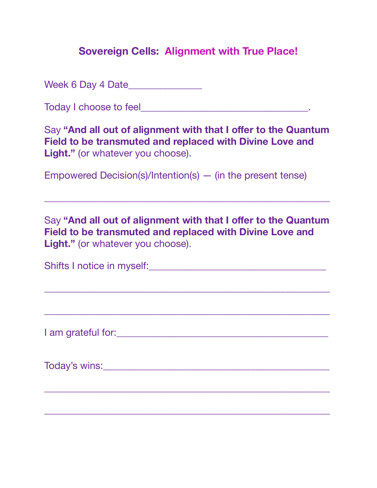Week 6 Day 4 Date\_\_\_\_\_\_\_\_\_\_\_\_\_\_\_

Today I choose to feel\_\_\_\_\_\_\_\_\_\_\_\_\_\_\_\_\_\_\_\_\_\_\_\_\_\_\_\_\_\_\_\_\_\_.

Say "And all out of alignment with that I offer to the Quantum **Field to be transmuted and replaced with Divine Love and Light."** (or whatever you choose).

Empowered Decision(s)/Intention(s) — (in the present tense)

Say "And all out of alignment with that I offer to the Quantum **Field to be transmuted and replaced with Divine Love and Light."** (or whatever you choose).

\_\_\_\_\_\_\_\_\_\_\_\_\_\_\_\_\_\_\_\_\_\_\_\_\_\_\_\_\_\_\_\_\_\_\_\_\_\_\_\_\_\_\_\_\_\_\_\_\_\_\_\_\_\_\_\_\_\_

| Shifts I notice in myself: |  |
|----------------------------|--|
|                            |  |

\_\_\_\_\_\_\_\_\_\_\_\_\_\_\_\_\_\_\_\_\_\_\_\_\_\_\_\_\_\_\_\_\_\_\_\_\_\_\_\_\_\_\_\_\_\_\_\_\_\_\_\_\_\_\_\_\_\_

\_\_\_\_\_\_\_\_\_\_\_\_\_\_\_\_\_\_\_\_\_\_\_\_\_\_\_\_\_\_\_\_\_\_\_\_\_\_\_\_\_\_\_\_\_\_\_\_\_\_\_\_\_\_\_\_\_\_

I am grateful for:\_\_\_\_\_\_\_\_\_\_\_\_\_\_\_\_\_\_\_\_\_\_\_\_\_\_\_\_\_\_\_\_\_\_\_\_\_\_\_\_\_\_\_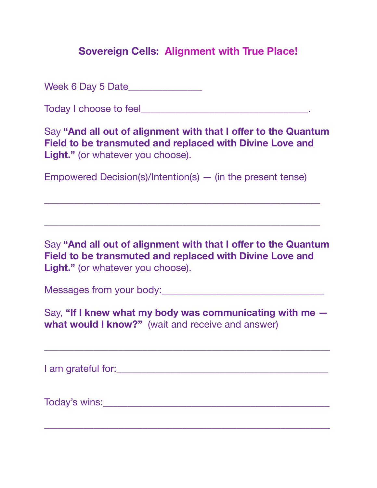Week 6 Day 5 Date\_\_\_\_\_\_\_\_\_\_\_\_\_\_\_\_

Today I choose to feel **The Executive Contract Contract Contract Contract Contract Contract Contract Contract Contract Contract Contract Contract Contract Contract Contract Contract Contract Contract Contract Contract Cont** 

Say "And all out of alignment with that I offer to the Quantum **Field to be transmuted and replaced with Divine Love and Light."** (or whatever you choose).

Empowered Decision(s)/Intention(s) — (in the present tense)

\_\_\_\_\_\_\_\_\_\_\_\_\_\_\_\_\_\_\_\_\_\_\_\_\_\_\_\_\_\_\_\_\_\_\_\_\_\_\_\_\_\_\_\_\_\_\_\_\_\_\_\_\_\_\_\_

\_\_\_\_\_\_\_\_\_\_\_\_\_\_\_\_\_\_\_\_\_\_\_\_\_\_\_\_\_\_\_\_\_\_\_\_\_\_\_\_\_\_\_\_\_\_\_\_\_\_\_\_\_\_\_\_

Say **"And all out of alignment with that I offer to the Quantum Field to be transmuted and replaced with Divine Love and**  Light." (or whatever you choose).

Messages from your body:\_\_\_\_\_\_\_\_\_\_\_\_\_\_\_\_\_\_\_\_\_\_\_\_\_\_\_\_\_\_\_\_\_

Say, **"If I knew what my body was communicating with me what would I know?"** (wait and receive and answer)

\_\_\_\_\_\_\_\_\_\_\_\_\_\_\_\_\_\_\_\_\_\_\_\_\_\_\_\_\_\_\_\_\_\_\_\_\_\_\_\_\_\_\_\_\_\_\_\_\_\_\_\_\_\_\_\_\_\_

I am grateful for:  $\blacksquare$ 

Today's wins:\_\_\_\_\_\_\_\_\_\_\_\_\_\_\_\_\_\_\_\_\_\_\_\_\_\_\_\_\_\_\_\_\_\_\_\_\_\_\_\_\_\_\_\_\_\_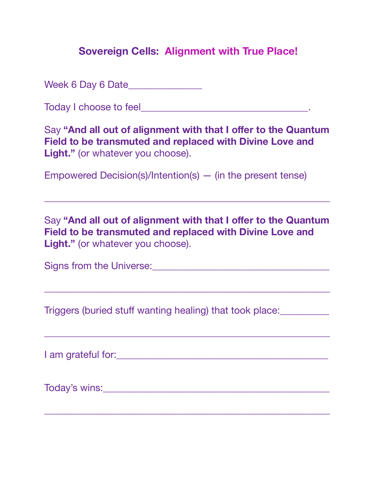Week 6 Day 6 Date\_\_\_\_\_\_\_\_\_\_\_\_\_\_\_

Today I choose to feel\_\_\_\_\_\_\_\_\_\_\_\_\_\_\_\_\_\_\_\_\_\_\_\_\_\_\_\_\_\_\_\_\_\_.

Say "And all out of alignment with that I offer to the Quantum **Field to be transmuted and replaced with Divine Love and Light."** (or whatever you choose).

Empowered Decision(s)/Intention(s) — (in the present tense)

Say "And all out of alignment with that I offer to the Quantum **Field to be transmuted and replaced with Divine Love and Light."** (or whatever you choose).

\_\_\_\_\_\_\_\_\_\_\_\_\_\_\_\_\_\_\_\_\_\_\_\_\_\_\_\_\_\_\_\_\_\_\_\_\_\_\_\_\_\_\_\_\_\_\_\_\_\_\_\_\_\_\_\_\_\_

\_\_\_\_\_\_\_\_\_\_\_\_\_\_\_\_\_\_\_\_\_\_\_\_\_\_\_\_\_\_\_\_\_\_\_\_\_\_\_\_\_\_\_\_\_\_\_\_\_\_\_\_\_\_\_\_\_\_

\_\_\_\_\_\_\_\_\_\_\_\_\_\_\_\_\_\_\_\_\_\_\_\_\_\_\_\_\_\_\_\_\_\_\_\_\_\_\_\_\_\_\_\_\_\_\_\_\_\_\_\_\_\_\_\_\_\_

Signs from the Universe:\_\_\_\_\_\_\_\_\_\_\_\_\_\_\_\_\_\_\_\_\_\_\_\_\_\_\_\_\_\_\_\_\_\_\_\_

Triggers (buried stuff wanting healing) that took place:\_\_\_\_\_\_\_\_\_\_

I am grateful for:\_\_\_\_\_\_\_\_\_\_\_\_\_\_\_\_\_\_\_\_\_\_\_\_\_\_\_\_\_\_\_\_\_\_\_\_\_\_\_\_\_\_\_

Today's wins:\_\_\_\_\_\_\_\_\_\_\_\_\_\_\_\_\_\_\_\_\_\_\_\_\_\_\_\_\_\_\_\_\_\_\_\_\_\_\_\_\_\_\_\_\_\_